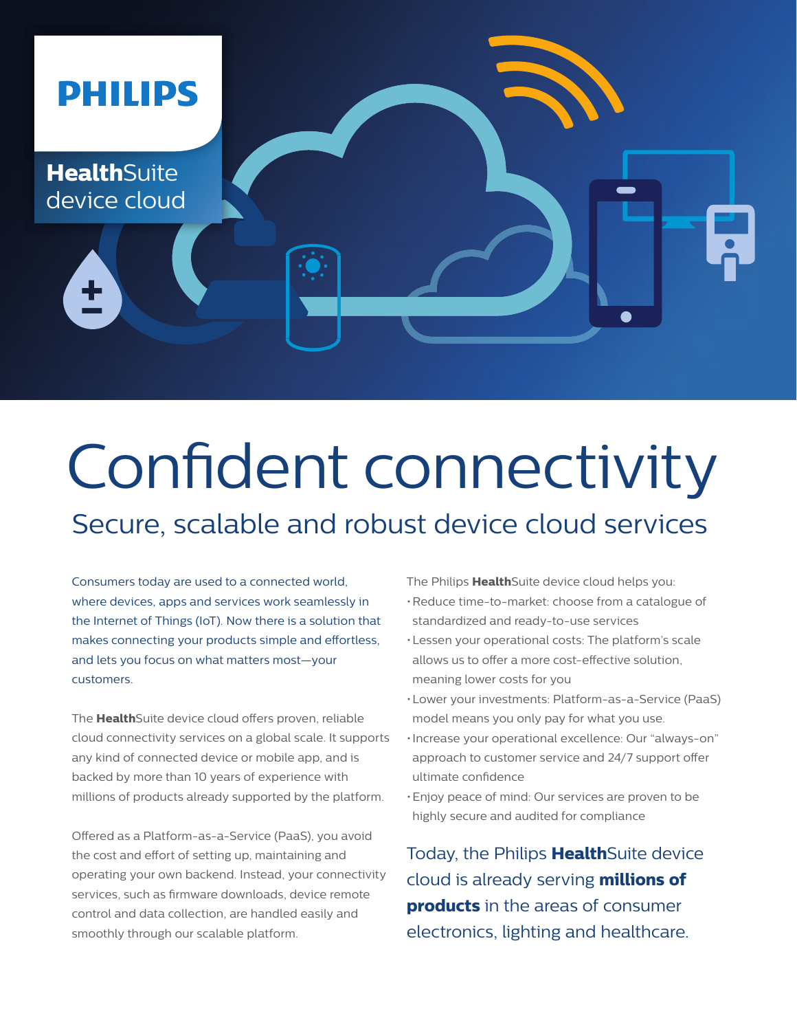

# Confident connectivity

# Secure, scalable and robust device cloud services

Consumers today are used to a connected world, where devices, apps and services work seamlessly in the Internet of Things (IoT). Now there is a solution that makes connecting your products simple and effortless, and lets you focus on what matters most—your customers.

The **Health**Suite device cloud offers proven, reliable cloud connectivity services on a global scale. It supports any kind of connected device or mobile app, and is backed by more than 10 years of experience with millions of products already supported by the platform.

Offered as a Platform-as-a-Service (PaaS), you avoid the cost and effort of setting up, maintaining and operating your own backend. Instead, your connectivity services, such as firmware downloads, device remote control and data collection, are handled easily and smoothly through our scalable platform.

The Philips **Health**Suite device cloud helps you:

- •Reduce time-to-market: choose from a catalogue of standardized and ready-to-use services
- •Lessen your operational costs: The platform's scale allows us to offer a more cost-effective solution, meaning lower costs for you
- •Lower your investments: Platform-as-a-Service (PaaS) model means you only pay for what you use.
- •Increase your operational excellence: Our "always-on" approach to customer service and 24/7 support offer ultimate confidence
- •Enjoy peace of mind: Our services are proven to be highly secure and audited for compliance

Today, the Philips **Health**Suite device cloud is already serving **millions of products** in the areas of consumer electronics, lighting and healthcare.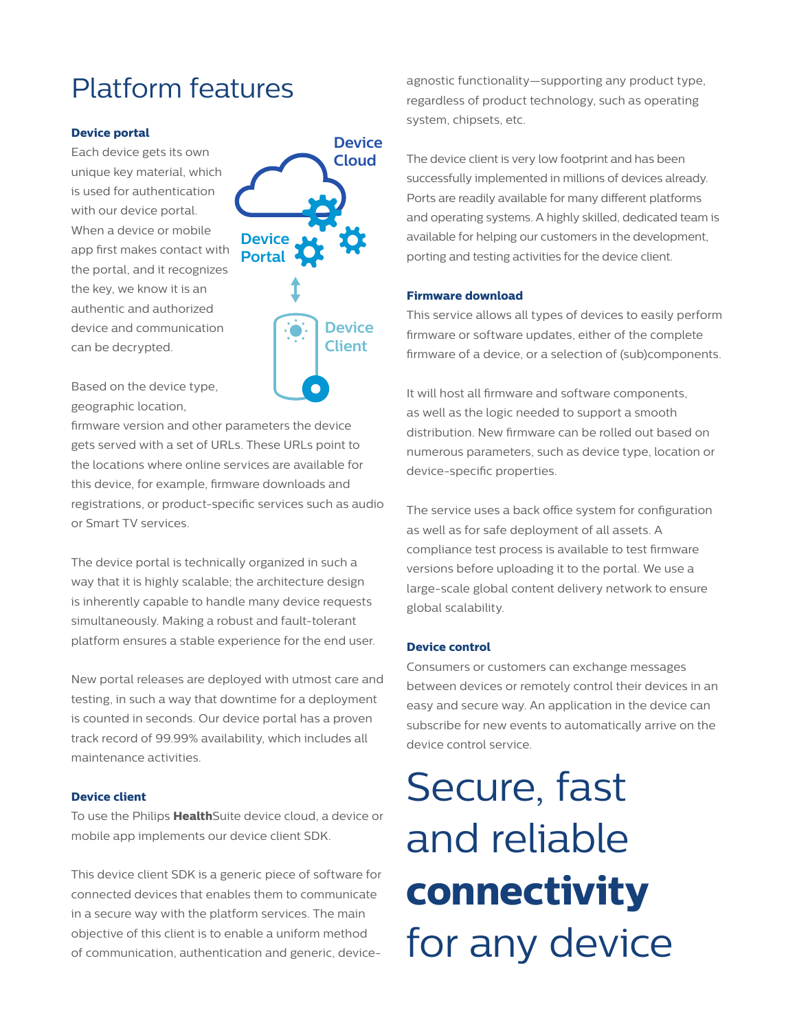# Platform features

#### **Device portal**

Each device gets its own unique key material, which is used for authentication with our device portal. When a device or mobile app first makes contact with the portal, and it recognizes the key, we know it is an authentic and authorized device and communication can be decrypted.



Based on the device type, geographic location,

firmware version and other parameters the device gets served with a set of URLs. These URLs point to the locations where online services are available for this device, for example, firmware downloads and registrations, or product-specific services such as audio or Smart TV services.

The device portal is technically organized in such a way that it is highly scalable; the architecture design is inherently capable to handle many device requests simultaneously. Making a robust and fault-tolerant platform ensures a stable experience for the end user.

New portal releases are deployed with utmost care and testing, in such a way that downtime for a deployment is counted in seconds. Our device portal has a proven track record of 99.99% availability, which includes all maintenance activities.

#### **Device client**

To use the Philips **Health**Suite device cloud, a device or mobile app implements our device client SDK.

This device client SDK is a generic piece of software for connected devices that enables them to communicate in a secure way with the platform services. The main objective of this client is to enable a uniform method of communication, authentication and generic, deviceagnostic functionality—supporting any product type, regardless of product technology, such as operating system, chipsets, etc.

The device client is very low footprint and has been successfully implemented in millions of devices already. Ports are readily available for many different platforms and operating systems. A highly skilled, dedicated team is available for helping our customers in the development, porting and testing activities for the device client.

#### **Firmware download**

This service allows all types of devices to easily perform firmware or software updates, either of the complete firmware of a device, or a selection of (sub)components.

It will host all firmware and software components, as well as the logic needed to support a smooth distribution. New firmware can be rolled out based on numerous parameters, such as device type, location or device-specific properties.

The service uses a back office system for configuration as well as for safe deployment of all assets. A compliance test process is available to test firmware versions before uploading it to the portal. We use a large-scale global content delivery network to ensure global scalability.

#### **Device control**

Consumers or customers can exchange messages between devices or remotely control their devices in an easy and secure way. An application in the device can subscribe for new events to automatically arrive on the device control service.

Secure, fast and reliable **connectivity**  for any device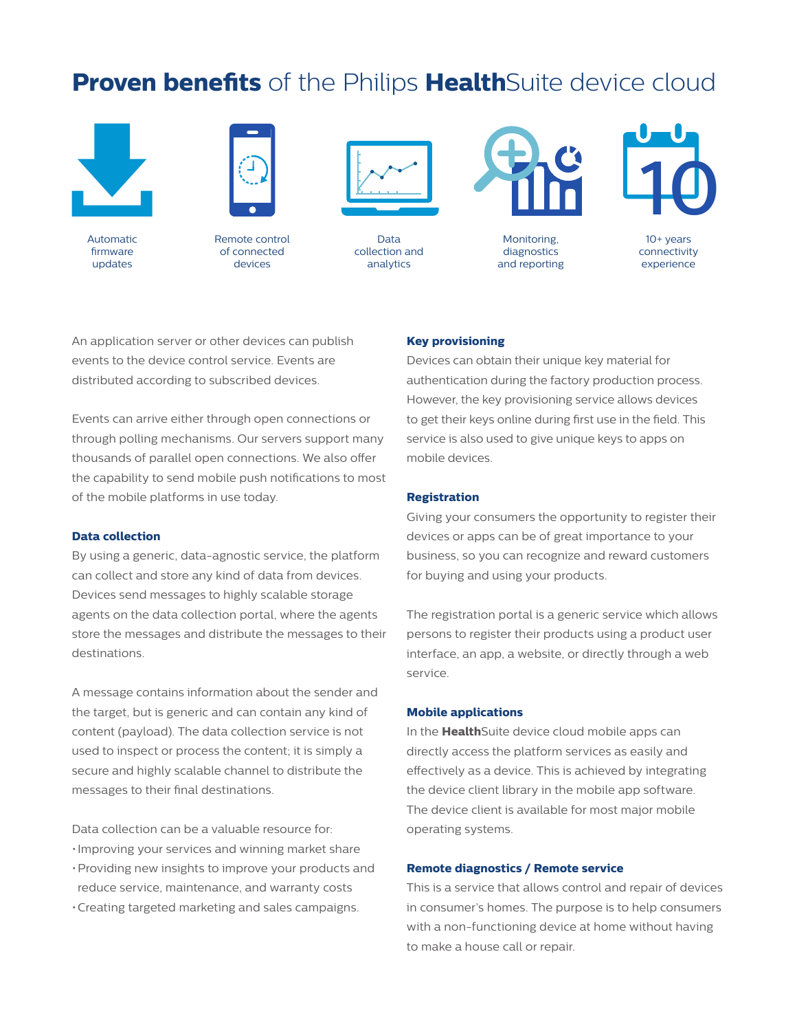### **Proven benefits** of the Philips **Health**Suite device cloud



Automatic firmware updates



Remote control of connected devices



Data collection and analytics



Monitoring, diagnostics and reporting



10+ years connectivity experience

An application server or other devices can publish events to the device control service. Events are distributed according to subscribed devices.

Events can arrive either through open connections or through polling mechanisms. Our servers support many thousands of parallel open connections. We also offer the capability to send mobile push notifications to most of the mobile platforms in use today.

#### **Data collection**

By using a generic, data-agnostic service, the platform can collect and store any kind of data from devices. Devices send messages to highly scalable storage agents on the data collection portal, where the agents store the messages and distribute the messages to their destinations.

A message contains information about the sender and the target, but is generic and can contain any kind of content (payload). The data collection service is not used to inspect or process the content; it is simply a secure and highly scalable channel to distribute the messages to their final destinations.

Data collection can be a valuable resource for: •Improving your services and winning market share

- •Providing new insights to improve your products and reduce service, maintenance, and warranty costs
- •Creating targeted marketing and sales campaigns.

#### **Key provisioning**

Devices can obtain their unique key material for authentication during the factory production process. However, the key provisioning service allows devices to get their keys online during first use in the field. This service is also used to give unique keys to apps on mobile devices.

#### **Registration**

Giving your consumers the opportunity to register their devices or apps can be of great importance to your business, so you can recognize and reward customers for buying and using your products.

The registration portal is a generic service which allows persons to register their products using a product user interface, an app, a website, or directly through a web service.

#### **Mobile applications**

In the **Health**Suite device cloud mobile apps can directly access the platform services as easily and effectively as a device. This is achieved by integrating the device client library in the mobile app software. The device client is available for most major mobile operating systems.

#### **Remote diagnostics / Remote service**

This is a service that allows control and repair of devices in consumer's homes. The purpose is to help consumers with a non-functioning device at home without having to make a house call or repair.